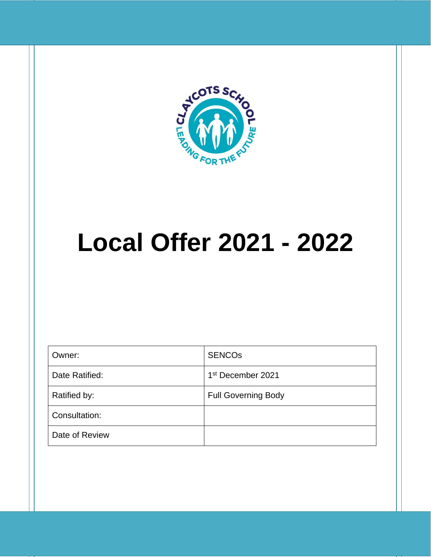

# **Local Offer 2021 - 2022**

| Owner:         | <b>SENCOS</b>                 |
|----------------|-------------------------------|
| Date Ratified: | 1 <sup>st</sup> December 2021 |
| Ratified by:   | <b>Full Governing Body</b>    |
| Consultation:  |                               |
| Date of Review |                               |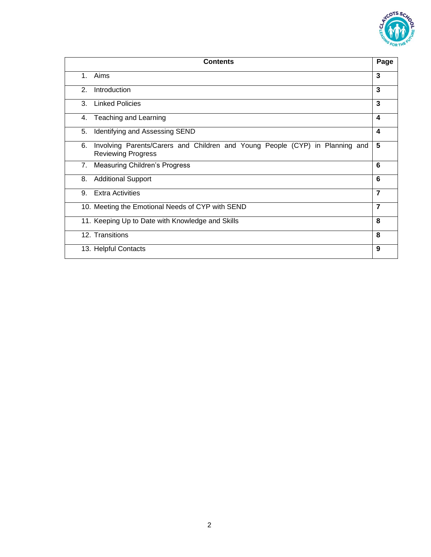

| <b>Contents</b>                                                                                                 |                         |
|-----------------------------------------------------------------------------------------------------------------|-------------------------|
| Aims<br>$1_{-}$                                                                                                 | 3                       |
| $\mathfrak{D}$ .<br>Introduction                                                                                | 3                       |
| <b>Linked Policies</b><br>3                                                                                     | 3                       |
| Teaching and Learning<br>4.                                                                                     | 4                       |
| Identifying and Assessing SEND<br>5.                                                                            | $\overline{\mathbf{4}}$ |
| Involving Parents/Carers and Children and Young People (CYP) in Planning and<br>6.<br><b>Reviewing Progress</b> | 5                       |
| Measuring Children's Progress<br>7.                                                                             | 6                       |
| <b>Additional Support</b><br>8.                                                                                 | 6                       |
| <b>Extra Activities</b><br>9.                                                                                   | 7                       |
| 10. Meeting the Emotional Needs of CYP with SEND                                                                | 7                       |
| 11. Keeping Up to Date with Knowledge and Skills                                                                | 8                       |
| 12. Transitions                                                                                                 | 8                       |
| 13. Helpful Contacts                                                                                            | 9                       |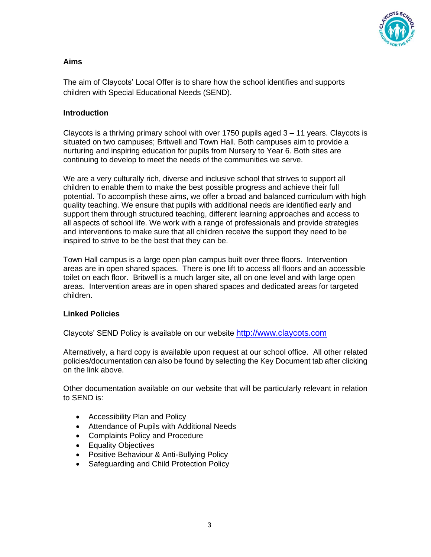

## **Aims**

The aim of Claycots' Local Offer is to share how the school identifies and supports children with Special Educational Needs (SEND).

## **Introduction**

Claycots is a thriving primary school with over 1750 pupils aged 3 – 11 years. Claycots is situated on two campuses; Britwell and Town Hall. Both campuses aim to provide a nurturing and inspiring education for pupils from Nursery to Year 6. Both sites are continuing to develop to meet the needs of the communities we serve.

We are a very culturally rich, diverse and inclusive school that strives to support all children to enable them to make the best possible progress and achieve their full potential. To accomplish these aims, we offer a broad and balanced curriculum with high quality teaching. We ensure that pupils with additional needs are identified early and support them through structured teaching, different learning approaches and access to all aspects of school life. We work with a range of professionals and provide strategies and interventions to make sure that all children receive the support they need to be inspired to strive to be the best that they can be.

Town Hall campus is a large open plan campus built over three floors. Intervention areas are in open shared spaces. There is one lift to access all floors and an accessible toilet on each floor. Britwell is a much larger site, all on one level and with large open areas. Intervention areas are in open shared spaces and dedicated areas for targeted children.

#### **Linked Policies**

Claycots' SEND Policy is available on our website [http://www.claycots.com](http://www.claycots.com/)

Alternatively, a hard copy is available upon request at our school office. All other related policies/documentation can also be found by selecting the Key Document tab after clicking on the link above.

Other documentation available on our website that will be particularly relevant in relation to SEND is:

- Accessibility Plan and Policy
- Attendance of Pupils with Additional Needs
- Complaints Policy and Procedure
- Equality Objectives
- Positive Behaviour & Anti-Bullying Policy
- Safeguarding and Child Protection Policy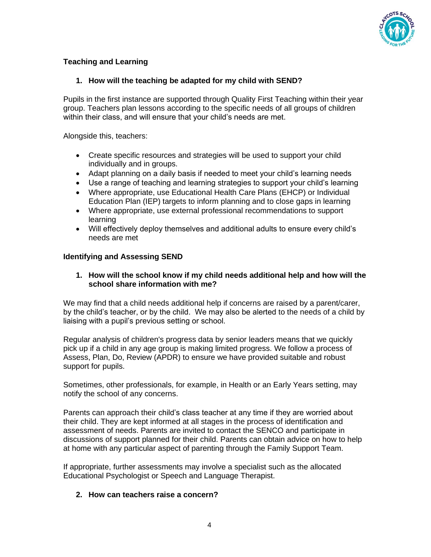

# **Teaching and Learning**

## **1. How will the teaching be adapted for my child with SEND?**

Pupils in the first instance are supported through Quality First Teaching within their year group. Teachers plan lessons according to the specific needs of all groups of children within their class, and will ensure that your child's needs are met.

Alongside this, teachers:

- Create specific resources and strategies will be used to support your child individually and in groups.
- Adapt planning on a daily basis if needed to meet your child's learning needs
- Use a range of teaching and learning strategies to support your child's learning
- Where appropriate, use Educational Health Care Plans (EHCP) or Individual Education Plan (IEP) targets to inform planning and to close gaps in learning
- Where appropriate, use external professional recommendations to support learning
- Will effectively deploy themselves and additional adults to ensure every child's needs are met

#### **Identifying and Assessing SEND**

#### **1. How will the school know if my child needs additional help and how will the school share information with me?**

We may find that a child needs additional help if concerns are raised by a parent/carer, by the child's teacher, or by the child. We may also be alerted to the needs of a child by liaising with a pupil's previous setting or school.

Regular analysis of children's progress data by senior leaders means that we quickly pick up if a child in any age group is making limited progress. We follow a process of Assess, Plan, Do, Review (APDR) to ensure we have provided suitable and robust support for pupils.

Sometimes, other professionals, for example, in Health or an Early Years setting, may notify the school of any concerns.

Parents can approach their child's class teacher at any time if they are worried about their child. They are kept informed at all stages in the process of identification and assessment of needs. Parents are invited to contact the SENCO and participate in discussions of support planned for their child. Parents can obtain advice on how to help at home with any particular aspect of parenting through the Family Support Team.

If appropriate, further assessments may involve a specialist such as the allocated Educational Psychologist or Speech and Language Therapist.

#### **2. How can teachers raise a concern?**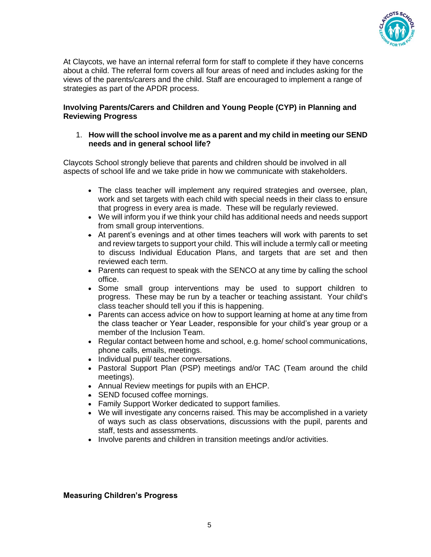

At Claycots, we have an internal referral form for staff to complete if they have concerns about a child. The referral form covers all four areas of need and includes asking for the views of the parents/carers and the child. Staff are encouraged to implement a range of strategies as part of the APDR process.

#### **Involving Parents/Carers and Children and Young People (CYP) in Planning and Reviewing Progress**

#### 1. **How will the school involve me as a parent and my child in meeting our SEND needs and in general school life?**

Claycots School strongly believe that parents and children should be involved in all aspects of school life and we take pride in how we communicate with stakeholders.

- The class teacher will implement any required strategies and oversee, plan, work and set targets with each child with special needs in their class to ensure that progress in every area is made. These will be regularly reviewed.
- We will inform you if we think your child has additional needs and needs support from small group interventions.
- At parent's evenings and at other times teachers will work with parents to set and review targets to support your child. This will include a termly call or meeting to discuss Individual Education Plans, and targets that are set and then reviewed each term.
- Parents can request to speak with the SENCO at any time by calling the school office.
- Some small group interventions may be used to support children to progress. These may be run by a teacher or teaching assistant. Your child's class teacher should tell you if this is happening.
- Parents can access advice on how to support learning at home at any time from the class teacher or Year Leader, responsible for your child's year group or a member of the Inclusion Team.
- Regular contact between home and school, e.g. home/ school communications, phone calls, emails, meetings.
- Individual pupil/ teacher conversations.
- Pastoral Support Plan (PSP) meetings and/or TAC (Team around the child meetings).
- Annual Review meetings for pupils with an EHCP.
- SEND focused coffee mornings.
- Family Support Worker dedicated to support families.
- We will investigate any concerns raised. This may be accomplished in a variety of ways such as class observations, discussions with the pupil, parents and staff, tests and assessments.
- Involve parents and children in transition meetings and/or activities.

#### **Measuring Children's Progress**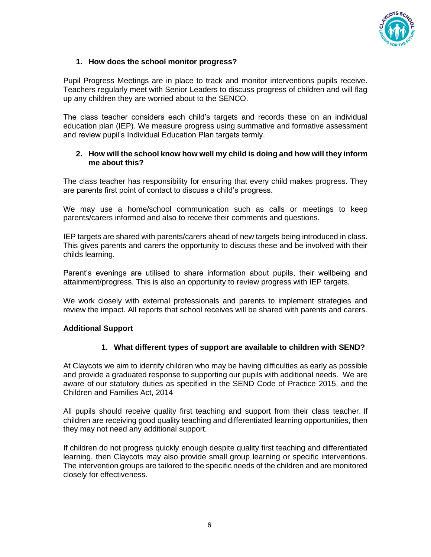

# **1. How does the school monitor progress?**

Pupil Progress Meetings are in place to track and monitor interventions pupils receive. Teachers regularly meet with Senior Leaders to discuss progress of children and will flag up any children they are worried about to the SENCO.

The class teacher considers each child's targets and records these on an individual education plan (IEP). We measure progress using summative and formative assessment and review pupil's Individual Education Plan targets termly.

#### **2. How will the school know how well my child is doing and how will they inform me about this?**

The class teacher has responsibility for ensuring that every child makes progress. They are parents first point of contact to discuss a child's progress.

We may use a home/school communication such as calls or meetings to keep parents/carers informed and also to receive their comments and questions.

IEP targets are shared with parents/carers ahead of new targets being introduced in class. This gives parents and carers the opportunity to discuss these and be involved with their childs learning.

Parent's evenings are utilised to share information about pupils, their wellbeing and attainment/progress. This is also an opportunity to review progress with IEP targets.

We work closely with external professionals and parents to implement strategies and review the impact. All reports that school receives will be shared with parents and carers.

#### **Additional Support**

#### **1. What different types of support are available to children with SEND?**

At Claycots we aim to identify children who may be having difficulties as early as possible and provide a graduated response to supporting our pupils with additional needs. We are aware of our statutory duties as specified in the SEND Code of Practice 2015, and the Children and Families Act, 2014

All pupils should receive quality first teaching and support from their class teacher. If children are receiving good quality teaching and differentiated learning opportunities, then they may not need any additional support.

If children do not progress quickly enough despite quality first teaching and differentiated learning, then Claycots may also provide small group learning or specific interventions. The intervention groups are tailored to the specific needs of the children and are monitored closely for effectiveness.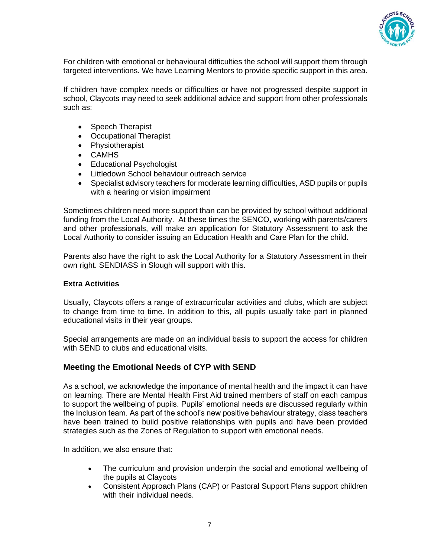

For children with emotional or behavioural difficulties the school will support them through targeted interventions. We have Learning Mentors to provide specific support in this area.

If children have complex needs or difficulties or have not progressed despite support in school, Claycots may need to seek additional advice and support from other professionals such as:

- Speech Therapist
- Occupational Therapist
- Physiotherapist
- CAMHS
- Educational Psychologist
- Littledown School behaviour outreach service
- Specialist advisory teachers for moderate learning difficulties, ASD pupils or pupils with a hearing or vision impairment

Sometimes children need more support than can be provided by school without additional funding from the Local Authority. At these times the SENCO, working with parents/carers and other professionals, will make an application for Statutory Assessment to ask the Local Authority to consider issuing an Education Health and Care Plan for the child.

Parents also have the right to ask the Local Authority for a Statutory Assessment in their own right. SENDIASS in Slough will support with this.

#### **Extra Activities**

Usually, Claycots offers a range of extracurricular activities and clubs, which are subject to change from time to time. In addition to this, all pupils usually take part in planned educational visits in their year groups.

Special arrangements are made on an individual basis to support the access for children with SEND to clubs and educational visits.

# **Meeting the Emotional Needs of CYP with SEND**

As a school, we acknowledge the importance of mental health and the impact it can have on learning. There are Mental Health First Aid trained members of staff on each campus to support the wellbeing of pupils. Pupils' emotional needs are discussed regularly within the Inclusion team. As part of the school's new positive behaviour strategy, class teachers have been trained to build positive relationships with pupils and have been provided strategies such as the Zones of Regulation to support with emotional needs.

In addition, we also ensure that:

- The curriculum and provision underpin the social and emotional wellbeing of the pupils at Claycots
- Consistent Approach Plans (CAP) or Pastoral Support Plans support children with their individual needs.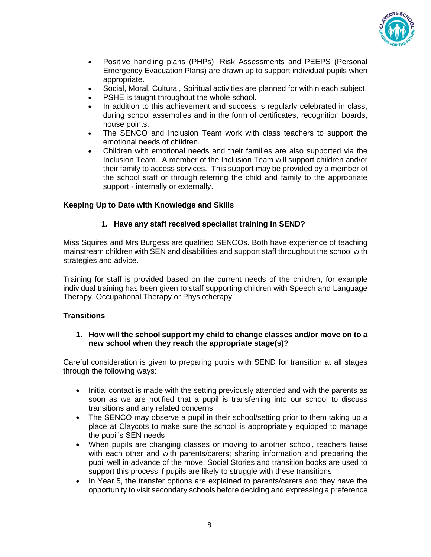

- Positive handling plans (PHPs), Risk Assessments and PEEPS (Personal Emergency Evacuation Plans) are drawn up to support individual pupils when appropriate.
- Social, Moral, Cultural, Spiritual activities are planned for within each subject.
- PSHE is taught throughout the whole school.
- In addition to this achievement and success is regularly celebrated in class, during school assemblies and in the form of certificates, recognition boards, house points.
- The SENCO and Inclusion Team work with class teachers to support the emotional needs of children.
- Children with emotional needs and their families are also supported via the Inclusion Team. A member of the Inclusion Team will support children and/or their family to access services. This support may be provided by a member of the school staff or through referring the child and family to the appropriate support - internally or externally.

# **Keeping Up to Date with Knowledge and Skills**

#### **1. Have any staff received specialist training in SEND?**

Miss Squires and Mrs Burgess are qualified SENCOs. Both have experience of teaching mainstream children with SEN and disabilities and support staff throughout the school with strategies and advice.

Training for staff is provided based on the current needs of the children, for example individual training has been given to staff supporting children with Speech and Language Therapy, Occupational Therapy or Physiotherapy.

#### **Transitions**

#### **1. How will the school support my child to change classes and/or move on to a new school when they reach the appropriate stage(s)?**

Careful consideration is given to preparing pupils with SEND for transition at all stages through the following ways:

- Initial contact is made with the setting previously attended and with the parents as soon as we are notified that a pupil is transferring into our school to discuss transitions and any related concerns
- The SENCO may observe a pupil in their school/setting prior to them taking up a place at Claycots to make sure the school is appropriately equipped to manage the pupil's SEN needs
- When pupils are changing classes or moving to another school, teachers liaise with each other and with parents/carers; sharing information and preparing the pupil well in advance of the move. Social Stories and transition books are used to support this process if pupils are likely to struggle with these transitions
- In Year 5, the transfer options are explained to parents/carers and they have the opportunity to visit secondary schools before deciding and expressing a preference